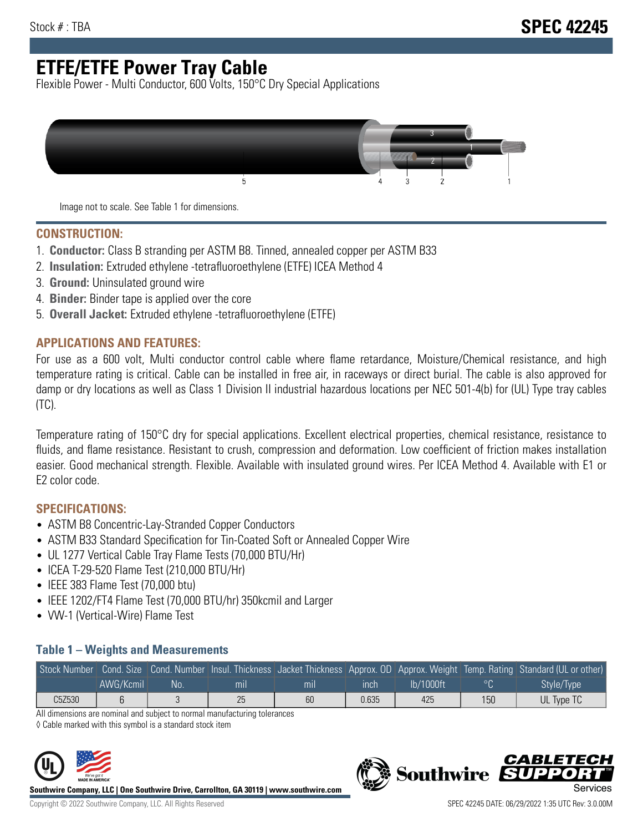# **ETFE/ETFE Power Tray Cable**

Flexible Power - Multi Conductor, 600 Volts, 150°C Dry Special Applications



Image not to scale. See Table 1 for dimensions.

#### **CONSTRUCTION:**

- 1. **Conductor:** Class B stranding per ASTM B8. Tinned, annealed copper per ASTM B33
- 2. **Insulation:** Extruded ethylene -tetrafluoroethylene (ETFE) ICEA Method 4
- 3. **Ground:** Uninsulated ground wire
- 4. **Binder:** Binder tape is applied over the core
- 5. **Overall Jacket:** Extruded ethylene -tetrafluoroethylene (ETFE)

### **APPLICATIONS AND FEATURES:**

For use as a 600 volt, Multi conductor control cable where flame retardance, Moisture/Chemical resistance, and high temperature rating is critical. Cable can be installed in free air, in raceways or direct burial. The cable is also approved for damp or dry locations as well as Class 1 Division II industrial hazardous locations per NEC 501-4(b) for (UL) Type tray cables (TC).

Temperature rating of 150°C dry for special applications. Excellent electrical properties, chemical resistance, resistance to fluids, and flame resistance. Resistant to crush, compression and deformation. Low coefficient of friction makes installation easier. Good mechanical strength. Flexible. Available with insulated ground wires. Per ICEA Method 4. Available with E1 or E2 color code.

## **SPECIFICATIONS:**

- ASTM B8 Concentric-Lay-Stranded Copper Conductors
- ASTM B33 Standard Specification for Tin-Coated Soft or Annealed Copper Wire
- UL 1277 Vertical Cable Tray Flame Tests (70,000 BTU/Hr)
- ICEA T-29-520 Flame Test (210,000 BTU/Hr)
- IEEE 383 Flame Test (70,000 btu)
- IEEE 1202/FT4 Flame Test (70,000 BTU/hr) 350kcmil and Larger
- VW-1 (Vertical-Wire) Flame Test

### **Table 1 – Weights and Measurements**

|        |           |    |     |     |       |           |         | Stock Number Cond. Size Cond. Number Insul. Thickness Jacket Thickness Approx. OD Approx. Weight Temp. Rating Standard (UL or other) |
|--------|-----------|----|-----|-----|-------|-----------|---------|--------------------------------------------------------------------------------------------------------------------------------------|
|        | AWG/Kcmil | No | mıl | mıl | ınch  | lb/1000ft | $\circ$ | Style/Type <sup>1</sup>                                                                                                              |
| C5Z530 |           |    | 25  | 60  | 0.635 | 425       | 150     | UL Type TC                                                                                                                           |

All dimensions are nominal and subject to normal manufacturing tolerances

◊ Cable marked with this symbol is a standard stock item



**Southwire Company, LLC | One Southwire Drive, Carrollton, GA 30119 | www.southwire.com**

**Southwire** 

CARLET